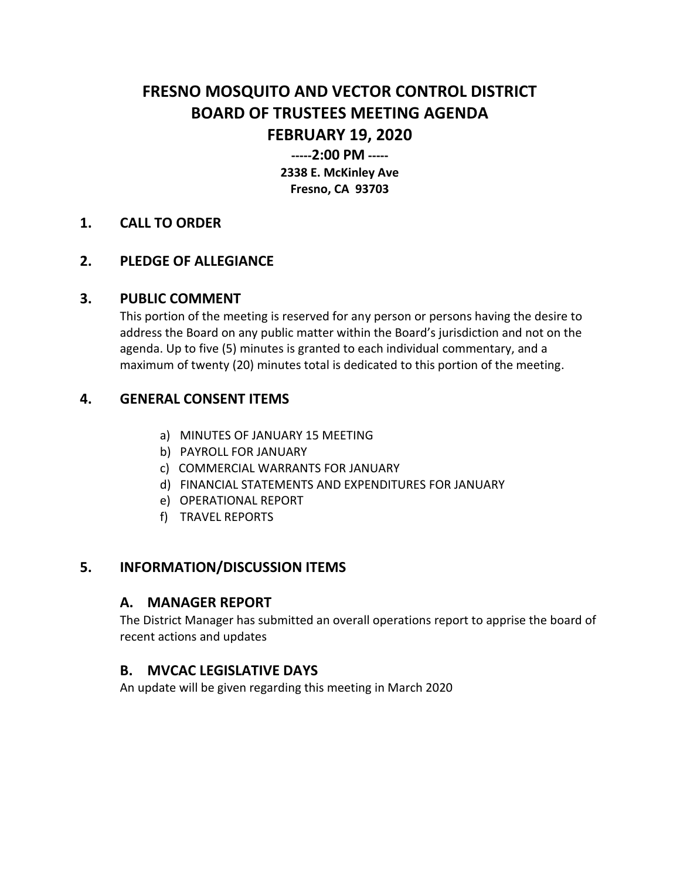# **FRESNO MOSQUITO AND VECTOR CONTROL DISTRICT BOARD OF TRUSTEES MEETING AGENDA FEBRUARY 19, 2020**

**-----2:00 PM ----- 2338 E. McKinley Ave Fresno, CA 93703**

#### **1. CALL TO ORDER**

## **2. PLEDGE OF ALLEGIANCE**

#### **3. PUBLIC COMMENT**

This portion of the meeting is reserved for any person or persons having the desire to address the Board on any public matter within the Board's jurisdiction and not on the agenda. Up to five (5) minutes is granted to each individual commentary, and a maximum of twenty (20) minutes total is dedicated to this portion of the meeting.

# **4. GENERAL CONSENT ITEMS**

- a) MINUTES OF JANUARY 15 MEETING
- b) PAYROLL FOR JANUARY
- c) COMMERCIAL WARRANTS FOR JANUARY
- d) FINANCIAL STATEMENTS AND EXPENDITURES FOR JANUARY
- e) OPERATIONAL REPORT
- f) TRAVEL REPORTS

## **5. INFORMATION/DISCUSSION ITEMS**

#### **A. MANAGER REPORT**

The District Manager has submitted an overall operations report to apprise the board of recent actions and updates

## **B. MVCAC LEGISLATIVE DAYS**

An update will be given regarding this meeting in March 2020